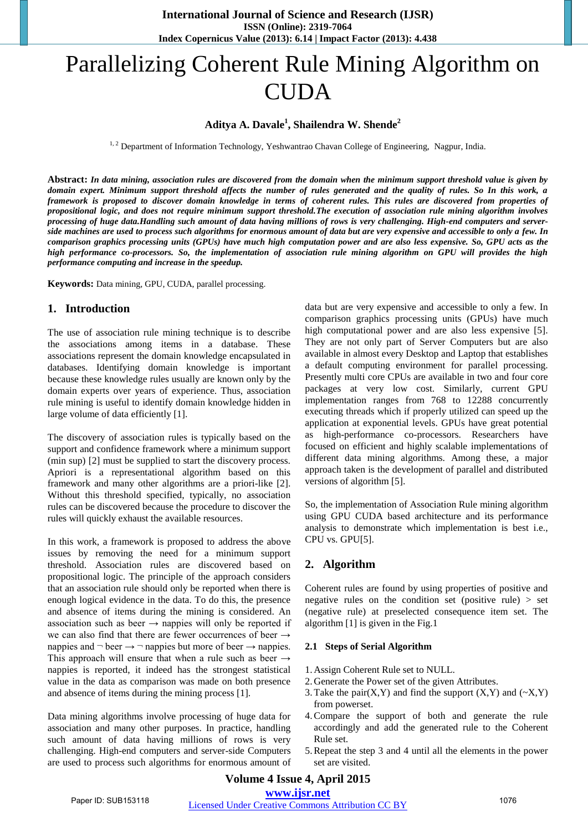# Parallelizing Coherent Rule Mining Algorithm on **CUDA**

# **Aditya A. Davale<sup>1</sup> , Shailendra W. Shende<sup>2</sup>**

<sup>1, 2</sup> Department of Information Technology, Yeshwantrao Chavan College of Engineering, Nagpur, India.

**Abstract:** *In data mining, association rules are discovered from the domain when the minimum support threshold value is given by domain expert. Minimum support threshold affects the number of rules generated and the quality of rules. So In this work, a framework is proposed to discover domain knowledge in terms of coherent rules. This rules are discovered from properties of propositional logic, and does not require minimum support threshold.The execution of association rule mining algorithm involves processing of huge data.Handling such amount of data having millions of rows is very challenging. High-end computers and serverside machines are used to process such algorithms for enormous amount of data but are very expensive and accessible to only a few. In comparison graphics processing units (GPUs) have much high computation power and are also less expensive. So, GPU acts as the high performance co-processors. So, the implementation of association rule mining algorithm on GPU will provides the high performance computing and increase in the speedup.* 

**Keywords:** Data mining, GPU, CUDA, parallel processing.

#### **1. Introduction**

The use of association rule mining technique is to describe the associations among items in a database. These associations represent the domain knowledge encapsulated in databases. Identifying domain knowledge is important because these knowledge rules usually are known only by the domain experts over years of experience. Thus, association rule mining is useful to identify domain knowledge hidden in large volume of data efficiently [1].

The discovery of association rules is typically based on the support and confidence framework where a minimum support (min sup) [2] must be supplied to start the discovery process. Apriori is a representational algorithm based on this framework and many other algorithms are a priori-like [2]. Without this threshold specified, typically, no association rules can be discovered because the procedure to discover the rules will quickly exhaust the available resources.

In this work, a framework is proposed to address the above issues by removing the need for a minimum support threshold. Association rules are discovered based on propositional logic. The principle of the approach considers that an association rule should only be reported when there is enough logical evidence in the data. To do this, the presence and absence of items during the mining is considered. An association such as beer  $\rightarrow$  nappies will only be reported if we can also find that there are fewer occurrences of beer  $\rightarrow$ nappies and  $\neg$  beer  $\rightarrow \neg$  nappies but more of beer  $\rightarrow$  nappies. This approach will ensure that when a rule such as beer  $\rightarrow$ nappies is reported, it indeed has the strongest statistical value in the data as comparison was made on both presence and absence of items during the mining process [1].

Data mining algorithms involve processing of huge data for association and many other purposes. In practice, handling such amount of data having millions of rows is very challenging. High-end computers and server-side Computers are used to process such algorithms for enormous amount of

data but are very expensive and accessible to only a few. In comparison graphics processing units (GPUs) have much high computational power and are also less expensive [5]. They are not only part of Server Computers but are also available in almost every Desktop and Laptop that establishes a default computing environment for parallel processing. Presently multi core CPUs are available in two and four core packages at very low cost. Similarly, current GPU implementation ranges from 768 to 12288 concurrently executing threads which if properly utilized can speed up the application at exponential levels. GPUs have great potential as high-performance co-processors. Researchers have focused on efficient and highly scalable implementations of different data mining algorithms. Among these, a major approach taken is the development of parallel and distributed versions of algorithm [5].

So, the implementation of Association Rule mining algorithm using GPU CUDA based architecture and its performance analysis to demonstrate which implementation is best i.e., CPU vs. GPU[5].

### **2. Algorithm**

Coherent rules are found by using properties of positive and negative rules on the condition set (positive rule)  $>$  set (negative rule) at preselected consequence item set. The algorithm [1] is given in the Fig.1

#### **2.1 Steps of Serial Algorithm**

- 1. Assign Coherent Rule set to NULL.
- 2. Generate the Power set of the given Attributes.
- 3. Take the pair $(X, Y)$  and find the support  $(X, Y)$  and  $(\sim X, Y)$ from powerset.
- 4.Compare the support of both and generate the rule accordingly and add the generated rule to the Coherent Rule set.
- 5.Repeat the step 3 and 4 until all the elements in the power set are visited.

# **Volume 4 Issue 4, April 2015 [www.ijsr.net](file:///D:\IJSR%20Website\www.ijsr.net)**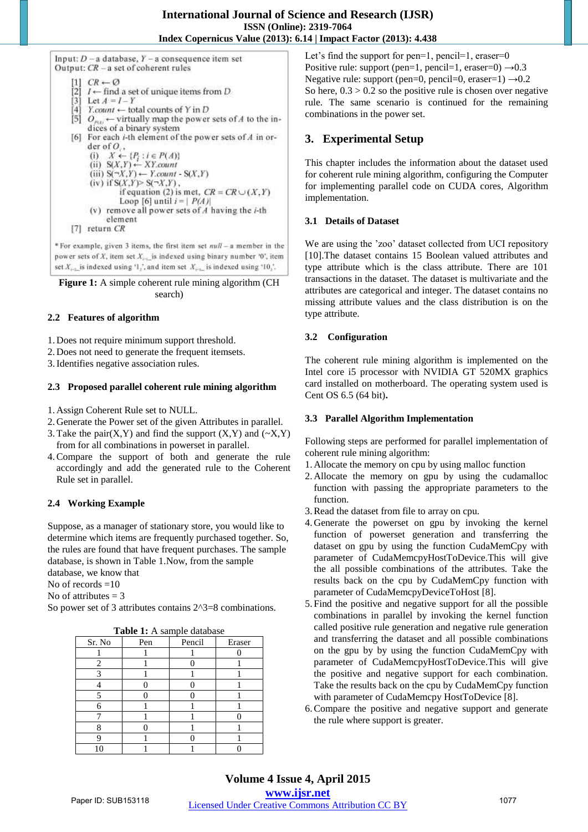Input:  $D - a$  database,  $Y - a$  consequence item set Output: CR - a set of coherent rules

 $CR \leftarrow \emptyset$ [2]  $I \leftarrow$  find a set of unique items from D Ë31 Let  $A = I - Y$ T41  $Y_{\text{count}} \leftarrow$  total counts of Y in D dices of a binary system [6] For each  $i$ -th element of the power sets of  $A$  in order of  $O_i$ , (i)  $X \leftarrow \{P_i : i \in P(A)\}$ <br>(ii)  $S(X,Y) \leftarrow XY.count$ (iii)  $S(\neg X, Y) \leftarrow Y$ .count -  $S(X, Y)$  $(iv)$  if  $S(X,Y) > S(\neg X,Y)$ , if equation (2) is met,  $CR = CR \cup (X, Y)$ Loop [6] until  $i = |P(A)|$ (v) remove all power sets of  $A$  having the  $i$ -th element  $[7]$  return  $CR$ 

\* For example, given 3 items, the first item set null - a member in the power sets of X, item set  $X_{i-1}$  is indexed using binary number '0', item set  $X_{n+1}$  is indexed using '1,', and item set  $X_{n+1}$  is indexed using '10,'.

**Figure 1:** A simple coherent rule mining algorithm (CH search)

### **2.2 Features of algorithm**

1. Does not require minimum support threshold.

2. Does not need to generate the frequent itemsets.

3.Identifies negative association rules.

### **2.3 Proposed parallel coherent rule mining algorithm**

1. Assign Coherent Rule set to NULL.

- 2. Generate the Power set of the given Attributes in parallel.
- 3. Take the pair $(X, Y)$  and find the support  $(X, Y)$  and  $(\sim X, Y)$ from for all combinations in powerset in parallel.
- 4.Compare the support of both and generate the rule accordingly and add the generated rule to the Coherent Rule set in parallel.

# **2.4 Working Example**

Suppose, as a manager of stationary store, you would like to determine which items are frequently purchased together. So, the rules are found that have frequent purchases. The sample database, is shown in Table 1.Now, from the sample database, we know that

No of records =10

No of attributes  $= 3$ 

So power set of 3 attributes contains  $2^3=8$  combinations.

| <b>Table 1:</b> A sample database |     |        |        |
|-----------------------------------|-----|--------|--------|
| Sr. No                            | Pen | Pencil | Eraser |
|                                   |     |        |        |
| 2                                 |     |        |        |
| 3                                 |     |        |        |
|                                   |     |        |        |
|                                   |     |        |        |
| 6                                 |     |        |        |
|                                   |     |        |        |
|                                   |     |        |        |
|                                   |     |        |        |
|                                   |     |        |        |

**Table 1: A** sample database 1: 1: A sample data base 1: A sample data base 1: A sample data base 1: A sample da

Let's find the support for pen=1, pencil=1, eraser=0 Positive rule: support (pen=1, pencil=1, eraser=0)  $\rightarrow$  0.3 Negative rule: support (pen=0, pencil=0, eraser=1)  $\rightarrow$  0.2 So here,  $0.3 > 0.2$  so the positive rule is chosen over negative rule. The same scenario is continued for the remaining combinations in the power set.

# **3. Experimental Setup**

This chapter includes the information about the dataset used for coherent rule mining algorithm, configuring the Computer for implementing parallel code on CUDA cores, Algorithm implementation.

# **3.1 Details of Dataset**

We are using the 'zoo' dataset collected from UCI repository [10].The dataset contains 15 Boolean valued attributes and type attribute which is the class attribute. There are 101 transactions in the dataset. The dataset is multivariate and the attributes are categorical and integer. The dataset contains no missing attribute values and the class distribution is on the type attribute.

# **3.2 Configuration**

The coherent rule mining algorithm is implemented on the Intel core i5 processor with NVIDIA GT 520MX graphics card installed on motherboard. The operating system used is Cent OS 6.5 (64 bit)**.** 

## **3.3 Parallel Algorithm Implementation**

Following steps are performed for parallel implementation of coherent rule mining algorithm:

- 1. Allocate the memory on cpu by using malloc function
- 2. Allocate the memory on gpu by using the cudamalloc function with passing the appropriate parameters to the function.
- 3.Read the dataset from file to array on cpu.
- 4. Generate the powerset on gpu by invoking the kernel function of powerset generation and transferring the dataset on gpu by using the function CudaMemCpy with parameter of CudaMemcpyHostToDevice.This will give the all possible combinations of the attributes. Take the results back on the cpu by CudaMemCpy function with parameter of CudaMemcpyDeviceToHost [8].
- 5. Find the positive and negative support for all the possible combinations in parallel by invoking the kernel function called positive rule generation and negative rule generation and transferring the dataset and all possible combinations on the gpu by by using the function CudaMemCpy with parameter of CudaMemcpyHostToDevice.This will give the positive and negative support for each combination. Take the results back on the cpu by CudaMemCpy function with parameter of CudaMemcpy HostToDevice [8].
- 6.Compare the positive and negative support and generate the rule where support is greater.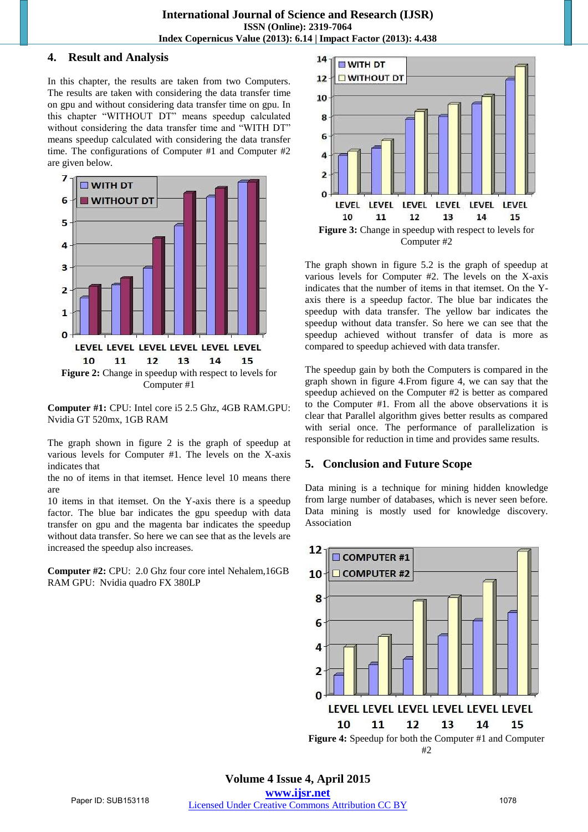## **4. Result and Analysis**

In this chapter, the results are taken from two Computers. The results are taken with considering the data transfer time on gpu and without considering data transfer time on gpu. In this chapter "WITHOUT DT" means speedup calculated without considering the data transfer time and "WITH DT" means speedup calculated with considering the data transfer time. The configurations of Computer #1 and Computer #2 are given below.



**Computer #1:** CPU: Intel core i5 2.5 Ghz, 4GB RAM.GPU: Nvidia GT 520mx, 1GB RAM

The graph shown in figure 2 is the graph of speedup at various levels for Computer #1. The levels on the X-axis indicates that

the no of items in that itemset. Hence level 10 means there are

10 items in that itemset. On the Y-axis there is a speedup factor. The blue bar indicates the gpu speedup with data transfer on gpu and the magenta bar indicates the speedup without data transfer. So here we can see that as the levels are increased the speedup also increases.

**Computer #2:** CPU: 2.0 Ghz four core intel Nehalem,16GB RAM GPU: Nvidia quadro FX 380LP



The graph shown in figure 5.2 is the graph of speedup at various levels for Computer #2. The levels on the X-axis indicates that the number of items in that itemset. On the Yaxis there is a speedup factor. The blue bar indicates the speedup with data transfer. The yellow bar indicates the speedup without data transfer. So here we can see that the speedup achieved without transfer of data is more as compared to speedup achieved with data transfer.

The speedup gain by both the Computers is compared in the graph shown in figure 4.From figure 4, we can say that the speedup achieved on the Computer #2 is better as compared to the Computer #1. From all the above observations it is clear that Parallel algorithm gives better results as compared with serial once. The performance of parallelization is responsible for reduction in time and provides same results.

# **5. Conclusion and Future Scope**

Data mining is a technique for mining hidden knowledge from large number of databases, which is never seen before. Data mining is mostly used for knowledge discovery. Association